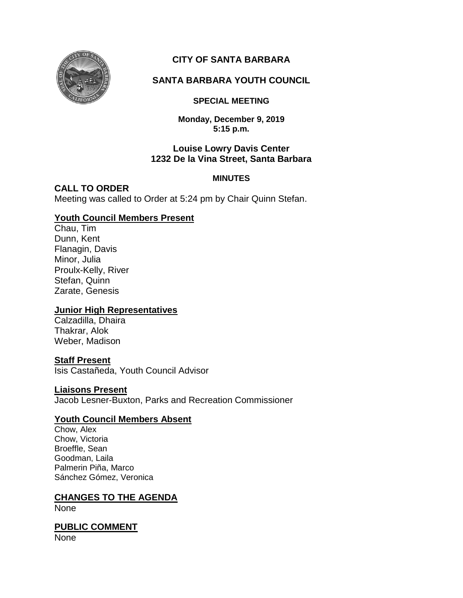

# **CITY OF SANTA BARBARA**

## **SANTA BARBARA YOUTH COUNCIL**

### **SPECIAL MEETING**

**Monday, December 9, 2019 5:15 p.m.**

### **Louise Lowry Davis Center 1232 De la Vina Street, Santa Barbara**

### **MINUTES**

### **CALL TO ORDER**

Meeting was called to Order at 5:24 pm by Chair Quinn Stefan.

### **Youth Council Members Present**

Chau, Tim Dunn, Kent Flanagin, Davis Minor, Julia Proulx-Kelly, River Stefan, Quinn Zarate, Genesis

### **Junior High Representatives**

Calzadilla, Dhaira Thakrar, Alok Weber, Madison

### **Staff Present**

Isis Castañeda, Youth Council Advisor

#### **Liaisons Present**

Jacob Lesner-Buxton, Parks and Recreation Commissioner

### **Youth Council Members Absent**

Chow, Alex Chow, Victoria Broeffle, Sean Goodman, Laila Palmerin Piña, Marco Sánchez Gómez, Veronica

### **CHANGES TO THE AGENDA**

None

**PUBLIC COMMENT** None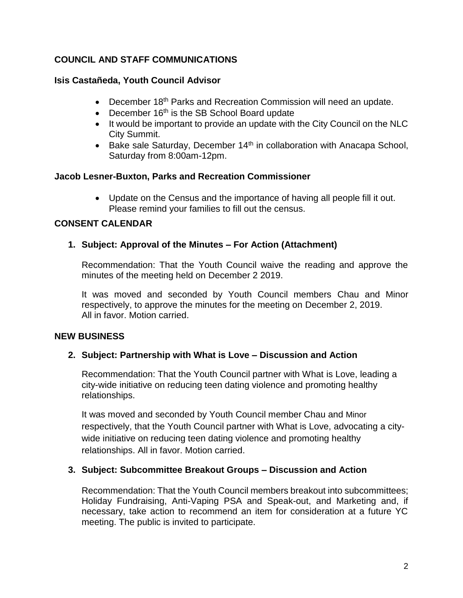## **COUNCIL AND STAFF COMMUNICATIONS**

## **Isis Castañeda, Youth Council Advisor**

- December 18<sup>th</sup> Parks and Recreation Commission will need an update.
- December  $16<sup>th</sup>$  is the SB School Board update
- It would be important to provide an update with the City Council on the NLC City Summit.
- **Bake sale Saturday, December 14th in collaboration with Anacapa School,** Saturday from 8:00am-12pm.

## **Jacob Lesner-Buxton, Parks and Recreation Commissioner**

• Update on the Census and the importance of having all people fill it out. Please remind your families to fill out the census.

## **CONSENT CALENDAR**

## **1. Subject: Approval of the Minutes – For Action (Attachment)**

Recommendation: That the Youth Council waive the reading and approve the minutes of the meeting held on December 2 2019.

It was moved and seconded by Youth Council members Chau and Minor respectively, to approve the minutes for the meeting on December 2, 2019. All in favor. Motion carried.

### **NEW BUSINESS**

### **2. Subject: Partnership with What is Love – Discussion and Action**

Recommendation: That the Youth Council partner with What is Love, leading a city-wide initiative on reducing teen dating violence and promoting healthy relationships.

It was moved and seconded by Youth Council member Chau and Minor respectively, that the Youth Council partner with What is Love, advocating a citywide initiative on reducing teen dating violence and promoting healthy relationships. All in favor. Motion carried.

### **3. Subject: Subcommittee Breakout Groups – Discussion and Action**

Recommendation: That the Youth Council members breakout into subcommittees; Holiday Fundraising, Anti-Vaping PSA and Speak-out, and Marketing and, if necessary, take action to recommend an item for consideration at a future YC meeting. The public is invited to participate.